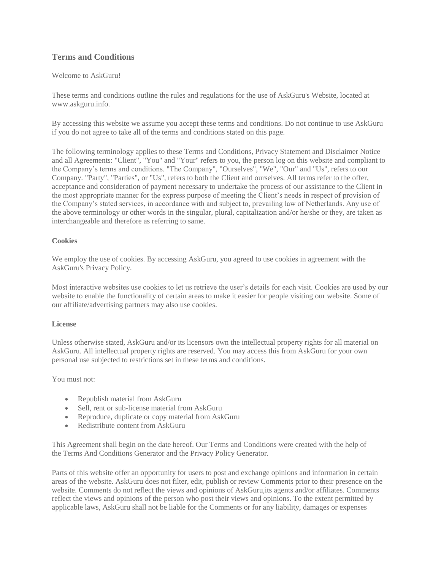# **Terms and Conditions**

## Welcome to AskGuru!

These terms and conditions outline the rules and regulations for the use of AskGuru's Website, located at www.askguru.info.

By accessing this website we assume you accept these terms and conditions. Do not continue to use AskGuru if you do not agree to take all of the terms and conditions stated on this page.

The following terminology applies to these Terms and Conditions, Privacy Statement and Disclaimer Notice and all Agreements: "Client", "You" and "Your" refers to you, the person log on this website and compliant to the Company's terms and conditions. "The Company", "Ourselves", "We", "Our" and "Us", refers to our Company. "Party", "Parties", or "Us", refers to both the Client and ourselves. All terms refer to the offer, acceptance and consideration of payment necessary to undertake the process of our assistance to the Client in the most appropriate manner for the express purpose of meeting the Client's needs in respect of provision of the Company's stated services, in accordance with and subject to, prevailing law of Netherlands. Any use of the above terminology or other words in the singular, plural, capitalization and/or he/she or they, are taken as interchangeable and therefore as referring to same.

## **Cookies**

We employ the use of cookies. By accessing AskGuru, you agreed to use cookies in agreement with the AskGuru's Privacy Policy.

Most interactive websites use cookies to let us retrieve the user's details for each visit. Cookies are used by our website to enable the functionality of certain areas to make it easier for people visiting our website. Some of our affiliate/advertising partners may also use cookies.

#### **License**

Unless otherwise stated, AskGuru and/or its licensors own the intellectual property rights for all material on AskGuru. All intellectual property rights are reserved. You may access this from AskGuru for your own personal use subjected to restrictions set in these terms and conditions.

You must not:

- Republish material from AskGuru
- Sell, rent or sub-license material from AskGuru
- Reproduce, duplicate or copy material from AskGuru
- Redistribute content from AskGuru

This Agreement shall begin on the date hereof. Our Terms and Conditions were created with the help of the [Terms And Conditions Generator](https://www.termsandconditionsgenerator.com/) and the [Privacy Policy Generator.](https://www.generateprivacypolicy.com/)

Parts of this website offer an opportunity for users to post and exchange opinions and information in certain areas of the website. AskGuru does not filter, edit, publish or review Comments prior to their presence on the website. Comments do not reflect the views and opinions of AskGuru,its agents and/or affiliates. Comments reflect the views and opinions of the person who post their views and opinions. To the extent permitted by applicable laws, AskGuru shall not be liable for the Comments or for any liability, damages or expenses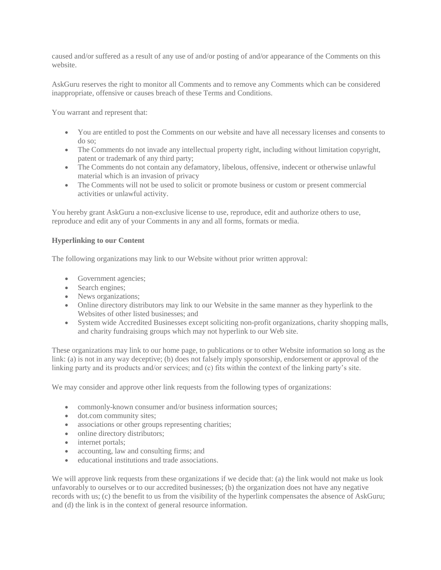caused and/or suffered as a result of any use of and/or posting of and/or appearance of the Comments on this website.

AskGuru reserves the right to monitor all Comments and to remove any Comments which can be considered inappropriate, offensive or causes breach of these Terms and Conditions.

You warrant and represent that:

- You are entitled to post the Comments on our website and have all necessary licenses and consents to do so;
- The Comments do not invade any intellectual property right, including without limitation copyright, patent or trademark of any third party;
- The Comments do not contain any defamatory, libelous, offensive, indecent or otherwise unlawful material which is an invasion of privacy
- The Comments will not be used to solicit or promote business or custom or present commercial activities or unlawful activity.

You hereby grant AskGuru a non-exclusive license to use, reproduce, edit and authorize others to use, reproduce and edit any of your Comments in any and all forms, formats or media.

## **Hyperlinking to our Content**

The following organizations may link to our Website without prior written approval:

- Government agencies;
- Search engines;
- News organizations;
- Online directory distributors may link to our Website in the same manner as they hyperlink to the Websites of other listed businesses; and
- System wide Accredited Businesses except soliciting non-profit organizations, charity shopping malls, and charity fundraising groups which may not hyperlink to our Web site.

These organizations may link to our home page, to publications or to other Website information so long as the link: (a) is not in any way deceptive; (b) does not falsely imply sponsorship, endorsement or approval of the linking party and its products and/or services; and (c) fits within the context of the linking party's site.

We may consider and approve other link requests from the following types of organizations:

- commonly-known consumer and/or business information sources;
- dot.com community sites;
- associations or other groups representing charities;
- online directory distributors;
- internet portals;
- accounting, law and consulting firms; and
- educational institutions and trade associations.

We will approve link requests from these organizations if we decide that: (a) the link would not make us look unfavorably to ourselves or to our accredited businesses; (b) the organization does not have any negative records with us; (c) the benefit to us from the visibility of the hyperlink compensates the absence of AskGuru; and (d) the link is in the context of general resource information.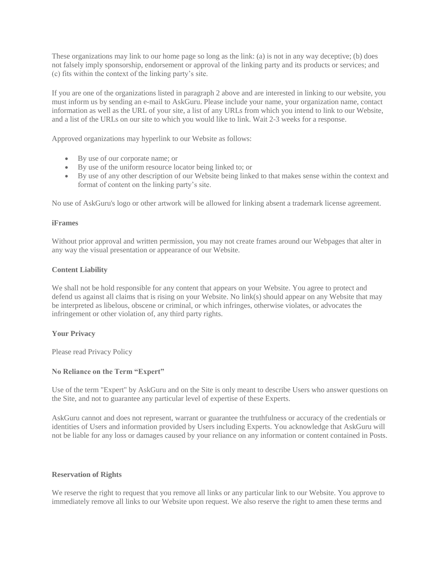These organizations may link to our home page so long as the link: (a) is not in any way deceptive; (b) does not falsely imply sponsorship, endorsement or approval of the linking party and its products or services; and (c) fits within the context of the linking party's site.

If you are one of the organizations listed in paragraph 2 above and are interested in linking to our website, you must inform us by sending an e-mail to AskGuru. Please include your name, your organization name, contact information as well as the URL of your site, a list of any URLs from which you intend to link to our Website, and a list of the URLs on our site to which you would like to link. Wait 2-3 weeks for a response.

Approved organizations may hyperlink to our Website as follows:

- By use of our corporate name; or
- By use of the uniform resource locator being linked to; or
- By use of any other description of our Website being linked to that makes sense within the context and format of content on the linking party's site.

No use of AskGuru's logo or other artwork will be allowed for linking absent a trademark license agreement.

#### **iFrames**

Without prior approval and written permission, you may not create frames around our Webpages that alter in any way the visual presentation or appearance of our Website.

## **Content Liability**

We shall not be hold responsible for any content that appears on your Website. You agree to protect and defend us against all claims that is rising on your Website. No link(s) should appear on any Website that may be interpreted as libelous, obscene or criminal, or which infringes, otherwise violates, or advocates the infringement or other violation of, any third party rights.

#### **Your Privacy**

Please read Privacy Policy

## **No Reliance on the Term "Expert"**

Use of the term "Expert" by AskGuru and on the Site is only meant to describe Users who answer questions on the Site, and not to guarantee any particular level of expertise of these Experts.

AskGuru cannot and does not represent, warrant or guarantee the truthfulness or accuracy of the credentials or identities of Users and information provided by Users including Experts. You acknowledge that AskGuru will not be liable for any loss or damages caused by your reliance on any information or content contained in Posts.

#### **Reservation of Rights**

We reserve the right to request that you remove all links or any particular link to our Website. You approve to immediately remove all links to our Website upon request. We also reserve the right to amen these terms and